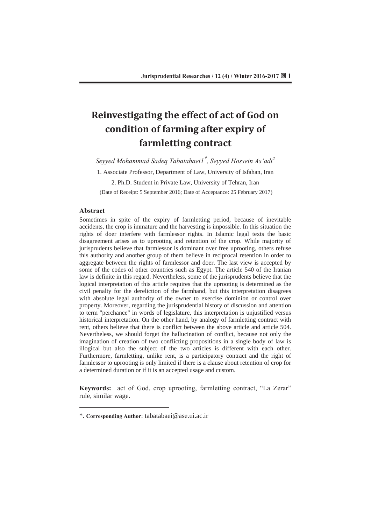# **Reinvestigating the effect of act of God on condition of farming after expiry of farmletting contract**

*Seyved Mohammad Sadea Tabatabaei1<sup>\*</sup>, Seyved Hossein As'adi<sup>2</sup>* 

1. Associate Professor, Department of Law, University of Isfahan, Iran

2. Ph.D. Student in Private Law, University of Tehran, Iran

(Date of Receipt: 5 September 2016; Date of Acceptance: 25 February 2017)

### Abstract

 $\overline{a}$ 

Sometimes in spite of the expiry of farmletting period, because of inevitable accidents, the crop is immature and the harvesting is impossible. In this situation the rights of doer interfere with farmlessor rights. In Islamic legal texts the basic disagreement arises as to uprooting and retention of the crop. While majority of jurisprudents believe that farmlessor is dominant over free uprooting, others refuse this authority and another group of them believe in reciprocal retention in order to aggregate between the rights of farmlessor and doer. The last view is accepted by some of the codes of other countries such as Egypt. The article 540 of the Iranian law is definite in this regard. Nevertheless, some of the jurisprudents believe that the logical interpretation of this article requires that the uprooting is determined as the civil penalty for the dereliction of the farmhand, but this interpretation disagrees with absolute legal authority of the owner to exercise dominion or control over property. Moreover, regarding the jurisprudential history of discussion and attention to term "perchance" in words of legislature, this interpretation is unjustified versus historical interpretation. On the other hand, by analogy of farmletting contract with rent, others believe that there is conflict between the above article and article 504. Nevertheless, we should forget the hallucination of conflict, because not only the imagination of creation of two conflicting propositions in a single body of law is illogical but also the subject of the two articles is different with each other. Furthermore, farmletting, unlike rent, is a participatory contract and the right of farmlessor to uprooting is only limited if there is a clause about retention of crop for a determined duration or if it is an accepted usage and custom.

**Keywords:** act of God, crop uprooting, farmletting contract, "La Zerar" rule, similar wage.

<sup>\*.</sup> **Corresponding Author:** tabatabaei@ase.ui.ac.ir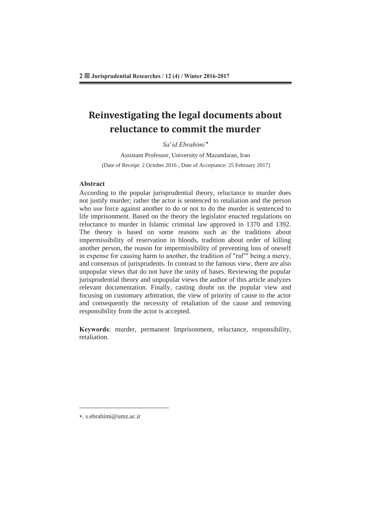# **Reinvestigating the legal documents about reluctance to commit the murder**

### $S$ *a*'*id Ebrahimi*<sup>\*</sup>

Assistant Professor, University of Mazandaran, Iran (Date of Receipt: 2 October 2016 ; Date of Acceptance: 25 February 2017)

### **Abstract**

According to the popular jurisprudential theory, reluctance to murder does not justify murder; rather the actor is sentenced to retaliation and the person who use force against another to do or not to do the murder is sentenced to life imprisonment. Based on the theory the legislator enacted regulations on reluctance to murder in Islamic criminal law approved in 1370 and 1392. The theory is based on some reasons such as the traditions about impermissibility of reservation in bloods, tradition about order of killing another person, the reason for impermissibility of preventing loss of oneself in expense for causing harm to another, the tradition of "raf'" being a mercy, and consensus of jurisprudents. In contrast to the famous view, there are also unpopular views that do not have the unity of bases. Reviewing the popular jurisprudential theory and unpopular views the author of this article analyzes relevant documentation. Finally, casting doubt on the popular view and focusing on customary arbitration, the view of priority of cause to the actor and consequently the necessity of retaliation of the cause and removing responsibility from the actor is accepted.

Keywords: murder, permanent Imprisonment, reluctance, responsibility, retaliation.

 $\overline{a}$ 

. s.ebrahimi@umz.ac.ir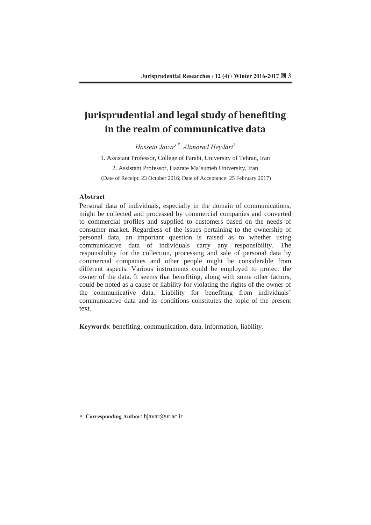# **Jurisprudential and legal study of benefiting in the realm of communicative data**

*Hossein Javar<sup>1\*</sup>, Alimorad Heydari<sup>2</sup>* 

1. Assistant Professor, College of Farabi, University of Tehran, Iran 2. Assistant Professor, Hazrate Ma'sumeh University, Iran (Date of Receipt: 23 October 2016; Date of Acceptance: 25 February 2017)

#### Abstract

Personal data of individuals, especially in the domain of communications, might be collected and processed by commercial companies and converted to commercial profiles and supplied to customers based on the needs of consumer market. Regardless of the issues pertaining to the ownership of personal data, an important question is raised as to whether using communicative data of individuals carry any responsibility. The responsibility for the collection, processing and sale of personal data by commercial companies and other people might be considerable from different aspects. Various instruments could be employed to protect the owner of the data. It seems that benefiting, along with some other factors, could be noted as a cause of liability for violating the rights of the owner of the communicative data. Liability for benefiting from individuals' communicative data and its conditions constitutes the topic of the present text.

**Keywords:** benefiting, communication, data, information, liability.

 $\overline{a}$ 

<sup>\*.</sup> Corresponding Author: hjavar@ut.ac.ir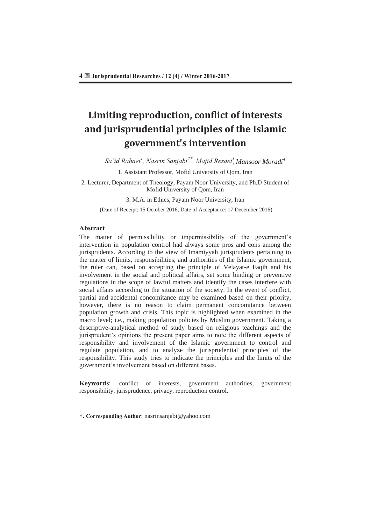# **Limiting reproduction, conflict of interests and jurisprudential principles of the Islamic government's intervention**

 $S$ a'id Rahaei<sup>1</sup>, Nasrin Sanjabi<sup>2\*</sup>, Majid Rezaei<sup>3</sup>, Mansoor Moradi<sup>4</sup>

1. Assistant Professor, Mofid University of Qom, Iran

2. Lecturer, Department of Theology, Payam Noor University, and Ph.D Student of Mofid University of Qom, Iran

3. M.A. in Ethics, Payam Noor University, Iran

(Date of Receipt: 15 October 2016; Date of Acceptance: 17 December 2016)

### Abstract

 $\overline{a}$ 

The matter of permissibility or impermissibility of the government's intervention in population control had always some pros and cons among the jurisprudents. According to the view of Imamiyyah jurisprudents pertaining to the matter of limits, responsibilities, and authorities of the Islamic government, the ruler can, based on accepting the principle of Velayat-e Faqih and his involvement in the social and political affairs, set some binding or preventive regulations in the scope of lawful matters and identify the cases interfere with social affairs according to the situation of the society. In the event of conflict, partial and accidental concomitance may be examined based on their priority, however, there is no reason to claim permanent concomitance between population growth and crisis. This topic is highlighted when examined in the macro level; i.e., making population policies by Muslim government. Taking a descriptive-analytical method of study based on religious teachings and the jurisprudent's opinions the present paper aims to note the different aspects of responsibility and involvement of the Islamic government to control and regulate population, and to analyze the jurisprudential principles of the responsibility. This study tries to indicate the principles and the limits of the government's involvement based on different bases.

**Keywords:** conflict of interests, government authorities, government responsibility, jurisprudence, privacy, reproduction control.

<sup>\*.</sup> Corresponding Author: nasrinsanjabi@yahoo.com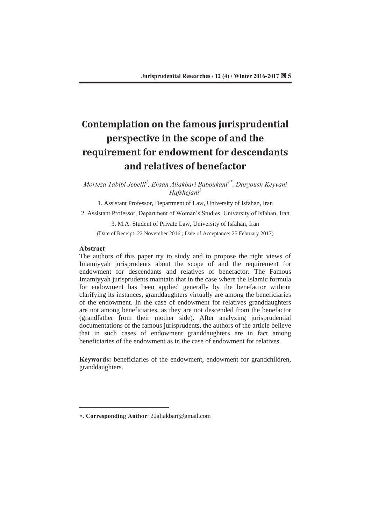# **Contemplation on the famous jurisprudential perspective in the scope of and the requirement for endowment for descendants and relatives of benefactor**

Morteza Tabibi Jebelli<sup>1</sup>, Ehsan Aliakbari Baboukani<sup>2\*</sup>, Daryoush Keyvani *Hafsheiani*<sup>3</sup>

1. Assistant Professor, Department of Law, University of Isfahan, Iran

2. Assistant Professor, Department of Woman's Studies, University of Isfahan, Iran

3. M.A. Student of Private Law, University of Isfahan, Iran

(Date of Receipt: 22 November 2016 ; Date of Acceptance: 25 February 2017)

### **Abstract**

 $\overline{a}$ 

The authors of this paper try to study and to propose the right views of Imamiyyah jurisprudents about the scope of and the requirement for endowment for descendants and relatives of benefactor. The Famous Imamiyyah jurisprudents maintain that in the case where the Islamic formula for endowment has been applied generally by the benefactor without clarifying its instances, granddaughters virtually are among the beneficiaries of the endowment. In the case of endowment for relatives granddaughters are not among beneficiaries, as they are not descended from the benefactor (grandfather from their mother side). After analyzing jurisprudential documentations of the famous jurisprudents, the authors of the article believe that in such cases of endowment granddaughters are in fact among beneficiaries of the endowment as in the case of endowment for relatives.

**Keywords:** beneficiaries of the endowment, endowment for grandchildren, granddaughters.

<sup>\*.</sup> **Corresponding Author**: 22aliakbari@gmail.com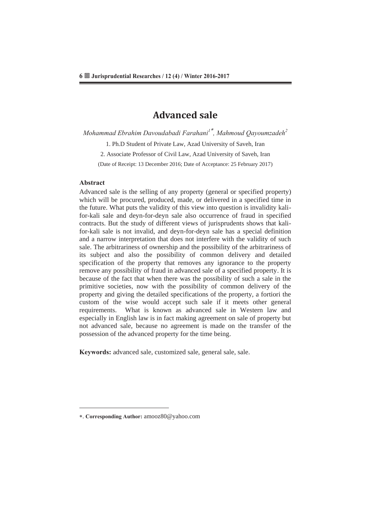### **Advanced sale**

*Mohammad Ebrahim Davoudabadi Farahani<sup>1\*</sup>, Mahmoud Oavoumzadeh<sup>2</sup>* 

1. Ph.D Student of Private Law, Azad University of Saveh, Iran

2. Associate Professor of Civil Law, Azad University of Saveh, Iran

(Date of Receipt: 13 December 2016; Date of Acceptance: 25 February 2017)

#### Abstract

 $\overline{a}$ 

Advanced sale is the selling of any property (general or specified property) which will be procured, produced, made, or delivered in a specified time in the future. What puts the validity of this view into question is invalidity kalifor-kali sale and deyn-for-deyn sale also occurrence of fraud in specified contracts. But the study of different views of jurisprudents shows that kalifor-kali sale is not invalid, and deyn-for-deyn sale has a special definition and a narrow interpretation that does not interfere with the validity of such sale. The arbitrariness of ownership and the possibility of the arbitrariness of its subject and also the possibility of common delivery and detailed specification of the property that removes any ignorance to the property remove any possibility of fraud in advanced sale of a specified property. It is because of the fact that when there was the possibility of such a sale in the primitive societies, now with the possibility of common delivery of the property and giving the detailed specifications of the property, a fortiori the custom of the wise would accept such sale if it meets other general requirements. What is known as advanced sale in Western law and especially in English law is in fact making agreement on sale of property but not advanced sale, because no agreement is made on the transfer of the possession of the advanced property for the time being.

Keywords: advanced sale, customized sale, general sale, sale.

<sup>\*.</sup> **Corresponding Author:** amooz80@yahoo.com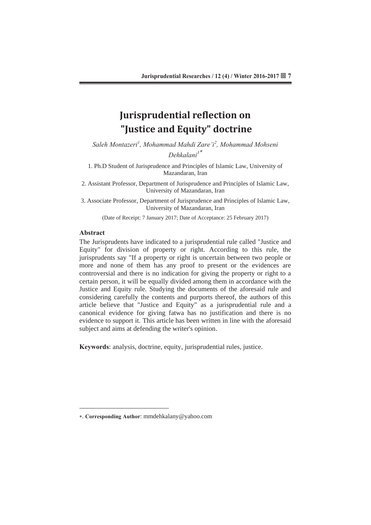### **Jurisprudential reflection on "Justice and Equity" doctrine**

 $S$ aleh Montazeri<sup>1</sup>, Mohammad Mahdi Zare'i<sup>2</sup>, Mohammad Mohseni  $Dehkalani<sup>3</sup>$ 

1. Ph.D Student of Jurisprudence and Principles of Islamic Law, University of Mazandaran, Iran

2. Assistant Professor, Department of Jurisprudence and Principles of Islamic Law, University of Mazandaran, Iran

3. Associate Professor, Department of Jurisprudence and Principles of Islamic Law, University of Mazandaran, Iran

(Date of Receipt: 7 January 2017; Date of Acceptance: 25 February 2017)

### **Abstract**

 $\overline{a}$ 

The Jurisprudents have indicated to a jurisprudential rule called "Justice and Equity" for division of property or right. According to this rule, the jurisprudents say "If a property or right is uncertain between two people or more and none of them has any proof to present or the evidences are controversial and there is no indication for giving the property or right to a certain person, it will be equally divided among them in accordance with the Justice and Equity rule. Studying the documents of the aforesaid rule and considering carefully the contents and purports thereof, the authors of this article believe that "Justice and Equity" as a jurisprudential rule and a canonical evidence for giving fatwa has no justification and there is no evidence to support it. This article has been written in line with the aforesaid subject and aims at defending the writer's opinion.

Keywords: analysis, doctrine, equity, jurisprudential rules, justice.

<sup>\*.</sup> Corresponding Author: mmdehkalany@yahoo.com